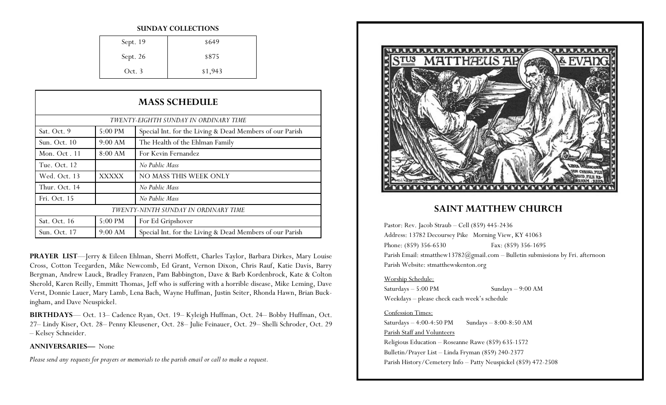#### **SUNDAY COLLECTIONS**

| Sept. 19 | \$649   |
|----------|---------|
| Sept. 26 | \$875   |
| Oct. 3   | \$1,943 |

| <b>MASS SCHEDULE</b>                  |              |                                                          |
|---------------------------------------|--------------|----------------------------------------------------------|
| TWENTY-EIGHTH SUNDAY IN ORDINARY TIME |              |                                                          |
| Sat. Oct. 9                           | 5:00 PM      | Special Int. for the Living & Dead Members of our Parish |
| Sun. Oct. 10                          | 9:00 AM      | The Health of the Ehlman Family                          |
| Mon. Oct. 11                          | 8:00 AM      | For Kevin Fernandez                                      |
| Tue. Oct. 12                          |              | No Public Mass                                           |
| Wed. Oct. 13                          | <b>XXXXX</b> | NO MASS THIS WEEK ONLY                                   |
| Thur. Oct. 14                         |              | No Public Mass                                           |
| Fri. Oct. 15                          |              | No Public Mass                                           |
| TWENTY-NINTH SUNDAY IN ORDINARY TIME  |              |                                                          |
| Sat. Oct. 16                          | 5:00 PM      | For Ed Gripshover                                        |
| Sun. Oct. 17                          | 9:00 AM      | Special Int. for the Living & Dead Members of our Parish |

**PRAYER LIST**—Jerry & Eileen Ehlman, Sherri Moffett, Charles Taylor, Barbara Dirkes, Mary Louise Cross, Cotton Teegarden, Mike Newcomb, Ed Grant, Vernon Dixon, Chris Rauf, Katie Davis, Barry Bergman, Andrew Lauck, Bradley Franzen, Pam Babbington, Dave & Barb Kordenbrock, Kate & Colton Sherold, Karen Reilly, Emmitt Thomas, Jeff who is suffering with a horrible disease, Mike Leming, Dave Verst, Donnie Lauer, Mary Lamb, Lena Bach, Wayne Huffman, Justin Seiter, Rhonda Hawn, Brian Buckingham, and Dave Neuspickel.

**BIRTHDAYS**— Oct. 13– Cadence Ryan, Oct. 19– Kyleigh Huffman, Oct. 24– Bobby Huffman, Oct. 27– Lindy Kiser, Oct. 28– Penny Kleusener, Oct. 28– Julie Feinauer, Oct. 29– Shelli Schroder, Oct. 29 – Kelsey Schneider.

**ANNIVERSARIES—** None

*Please send any requests for prayers or memorials to the parish email or call to make a request.*



## **SAINT MATTHEW CHURCH**

Pastor: Rev. Jacob Straub – Cell (859) 445-2436 Address: 13782 Decoursey Pike Morning View, KY 41063 Phone: (859) 356-6530 Fax: (859) 356-1695 Parish Email: stmatthew13782@gmail.com – Bulletin submissions by Fri. afternoon Parish Website: stmatthewskenton.org

### Worship Schedule:

Saturdays – 5:00 PM Sundays – 9:00 AM Weekdays – please check each week's schedule

### Confession Times:

Saturdays  $-4:00-4:50 \text{ PM}$  Sundays  $-8:00-8:50 \text{ AM}$ Parish Staff and Volunteers Religious Education – Roseanne Rawe (859) 635-1572 Bulletin/Prayer List – Linda Fryman (859) 240-2377 Parish History/Cemetery Info – Patty Neuspickel (859) 472-2508